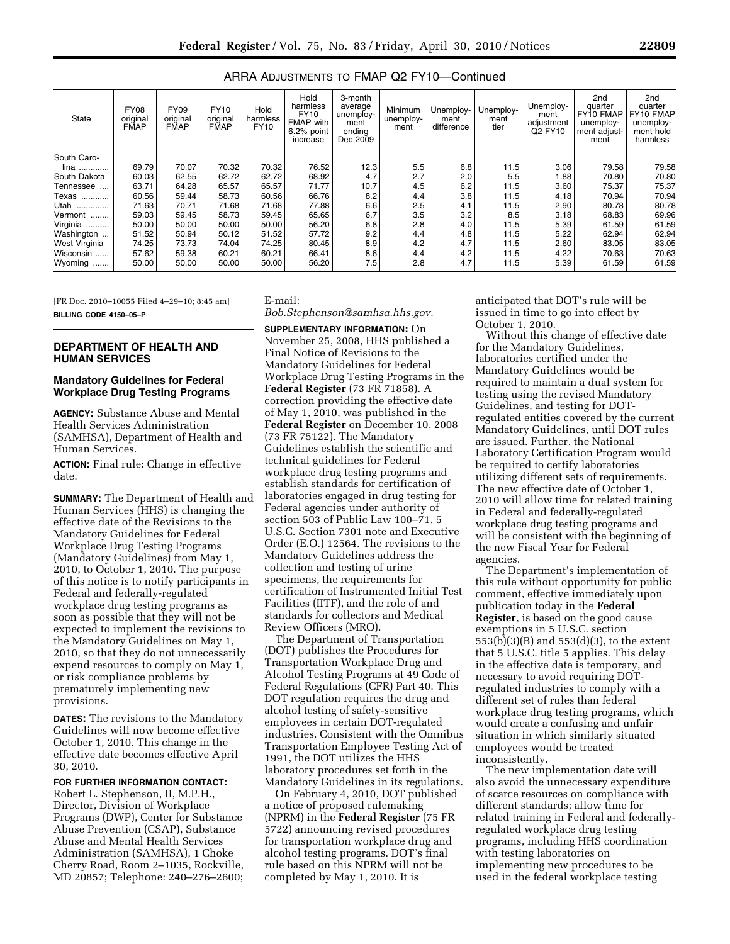| State         | <b>FY08</b><br>original<br><b>FMAP</b> | <b>FY09</b><br>original<br><b>FMAP</b> | <b>FY10</b><br>original<br><b>FMAP</b> | Hold<br>harmless<br><b>FY10</b> | Hold<br>harmless<br>FY10<br><b>FMAP</b> with<br>6.2% point<br>increase | 3-month<br>average<br>unemploy-<br>ment<br>endina<br>Dec 2009 | Minimum<br>unemploy-<br>ment | Unemploy-<br>ment<br>difference | Unemploy-<br>ment<br>tier | Unemploy-<br>ment<br>adjustment<br>Q2 FY10 | 2 <sub>nd</sub><br>quarter<br><b>FY10 FMAP</b><br>unemploy-<br>ment adjust-<br>ment | 2 <sub>nd</sub><br>quarter<br>FY10 FMAP<br>unemploy-<br>ment hold<br>harmless |
|---------------|----------------------------------------|----------------------------------------|----------------------------------------|---------------------------------|------------------------------------------------------------------------|---------------------------------------------------------------|------------------------------|---------------------------------|---------------------------|--------------------------------------------|-------------------------------------------------------------------------------------|-------------------------------------------------------------------------------|
| South Caro-   |                                        |                                        |                                        |                                 |                                                                        |                                                               |                              |                                 |                           |                                            |                                                                                     |                                                                               |
| lina          | 69.79                                  | 70.07                                  | 70.32                                  | 70.32                           | 76.52                                                                  | 12.3                                                          | 5.5                          | 6.8                             | 11.5                      | 3.06                                       | 79.58                                                                               | 79.58                                                                         |
| South Dakota  | 60.03                                  | 62.55                                  | 62.72                                  | 62.72                           | 68.92                                                                  | 4.7                                                           | 2.7                          | 2.0                             | 5.5                       | 1.88                                       | 70.80                                                                               | 70.80                                                                         |
| Tennessee     | 63.71                                  | 64.28                                  | 65.57                                  | 65.57                           | 71.77                                                                  | 10.7                                                          | 4.5                          | 6.2                             | 11.5                      | 3.60                                       | 75.37                                                                               | 75.37                                                                         |
| Texas<br>     | 60.56                                  | 59.44                                  | 58.73                                  | 60.56                           | 66.76                                                                  | 8.2                                                           | 4.4                          | 3.8                             | 11.5                      | 4.18                                       | 70.94                                                                               | 70.94                                                                         |
| Utah<br>      | 71.63                                  | 70.71                                  | 71.68                                  | 71.68                           | 77.88                                                                  | 6.6                                                           | 2.5                          | 4.1                             | 11.5                      | 2.90                                       | 80.78                                                                               | 80.78                                                                         |
| Vermont       | 59.03                                  | 59.45                                  | 58.73                                  | 59.45                           | 65.65                                                                  | 6.7                                                           | 3.5                          | 3.2                             | 8.5                       | 3.18                                       | 68.83                                                                               | 69.96                                                                         |
| Virginia      | 50.00                                  | 50.00                                  | 50.00                                  | 50.00                           | 56.20                                                                  | 6.8                                                           | 2.8                          | 4.0                             | 11.5                      | 5.39                                       | 61.59                                                                               | 61.59                                                                         |
| Washington    | 51.52                                  | 50.94                                  | 50.12                                  | 51.52                           | 57.72                                                                  | 9.2                                                           | 4.4                          | 4.8                             | 11.5                      | 5.22                                       | 62.94                                                                               | 62.94                                                                         |
| West Virginia | 74.25                                  | 73.73                                  | 74.04                                  | 74.25                           | 80.45                                                                  | 8.9                                                           | 4.2                          | 4.7                             | 11.5                      | 2.60                                       | 83.05                                                                               | 83.05                                                                         |
| Wisconsin     | 57.62                                  | 59.38                                  | 60.21                                  | 60.21                           | 66.41                                                                  | 8.6                                                           | 4.4                          | 4.2                             | 11.5                      | 4.22                                       | 70.63                                                                               | 70.63                                                                         |
| Wyoming<br>   | 50.00                                  | 50.00                                  | 50.00                                  | 50.00                           | 56.20                                                                  | 7.5                                                           | 2.8                          | 4.7                             | 11.5                      | 5.39                                       | 61.59                                                                               | 61.59                                                                         |

# ARRA ADJUSTMENTS TO FMAP Q2 FY10—Continued

[FR Doc. 2010–10055 Filed 4–29–10; 8:45 am] **BILLING CODE 4150–05–P** 

## **DEPARTMENT OF HEALTH AND HUMAN SERVICES**

## **Mandatory Guidelines for Federal Workplace Drug Testing Programs**

**AGENCY:** Substance Abuse and Mental Health Services Administration (SAMHSA), Department of Health and Human Services.

**ACTION:** Final rule: Change in effective date.

**SUMMARY:** The Department of Health and Human Services (HHS) is changing the effective date of the Revisions to the Mandatory Guidelines for Federal Workplace Drug Testing Programs (Mandatory Guidelines) from May 1, 2010, to October 1, 2010. The purpose of this notice is to notify participants in Federal and federally-regulated workplace drug testing programs as soon as possible that they will not be expected to implement the revisions to the Mandatory Guidelines on May 1, 2010, so that they do not unnecessarily expend resources to comply on May 1, or risk compliance problems by prematurely implementing new provisions.

**DATES:** The revisions to the Mandatory Guidelines will now become effective October 1, 2010. This change in the effective date becomes effective April 30, 2010.

## **FOR FURTHER INFORMATION CONTACT:**

Robert L. Stephenson, II, M.P.H., Director, Division of Workplace Programs (DWP), Center for Substance Abuse Prevention (CSAP), Substance Abuse and Mental Health Services Administration (SAMHSA), 1 Choke Cherry Road, Room 2–1035, Rockville, MD 20857; Telephone: 240–276–2600; E-mail:

*Bob.Stephenson@samhsa.hhs.gov.* 

**SUPPLEMENTARY INFORMATION:** On November 25, 2008, HHS published a Final Notice of Revisions to the Mandatory Guidelines for Federal Workplace Drug Testing Programs in the **Federal Register** (73 FR 71858). A correction providing the effective date of May 1, 2010, was published in the **Federal Register** on December 10, 2008 (73 FR 75122). The Mandatory Guidelines establish the scientific and technical guidelines for Federal workplace drug testing programs and establish standards for certification of laboratories engaged in drug testing for Federal agencies under authority of section 503 of Public Law 100–71, 5 U.S.C. Section 7301 note and Executive Order (E.O.) 12564. The revisions to the Mandatory Guidelines address the collection and testing of urine specimens, the requirements for certification of Instrumented Initial Test Facilities (IITF), and the role of and standards for collectors and Medical Review Officers (MRO).

The Department of Transportation (DOT) publishes the Procedures for Transportation Workplace Drug and Alcohol Testing Programs at 49 Code of Federal Regulations (CFR) Part 40. This DOT regulation requires the drug and alcohol testing of safety-sensitive employees in certain DOT-regulated industries. Consistent with the Omnibus Transportation Employee Testing Act of 1991, the DOT utilizes the HHS laboratory procedures set forth in the Mandatory Guidelines in its regulations.

On February 4, 2010, DOT published a notice of proposed rulemaking (NPRM) in the **Federal Register** (75 FR 5722) announcing revised procedures for transportation workplace drug and alcohol testing programs. DOT's final rule based on this NPRM will not be completed by May 1, 2010. It is

anticipated that DOT's rule will be issued in time to go into effect by October 1, 2010.

Without this change of effective date for the Mandatory Guidelines, laboratories certified under the Mandatory Guidelines would be required to maintain a dual system for testing using the revised Mandatory Guidelines, and testing for DOTregulated entities covered by the current Mandatory Guidelines, until DOT rules are issued. Further, the National Laboratory Certification Program would be required to certify laboratories utilizing different sets of requirements. The new effective date of October 1, 2010 will allow time for related training in Federal and federally-regulated workplace drug testing programs and will be consistent with the beginning of the new Fiscal Year for Federal agencies.

The Department's implementation of this rule without opportunity for public comment, effective immediately upon publication today in the **Federal Register**, is based on the good cause exemptions in 5 U.S.C. section 553(b)(3)(B) and 553(d)(3), to the extent that 5 U.S.C. title 5 applies. This delay in the effective date is temporary, and necessary to avoid requiring DOTregulated industries to comply with a different set of rules than federal workplace drug testing programs, which would create a confusing and unfair situation in which similarly situated employees would be treated inconsistently.

The new implementation date will also avoid the unnecessary expenditure of scarce resources on compliance with different standards; allow time for related training in Federal and federallyregulated workplace drug testing programs, including HHS coordination with testing laboratories on implementing new procedures to be used in the federal workplace testing